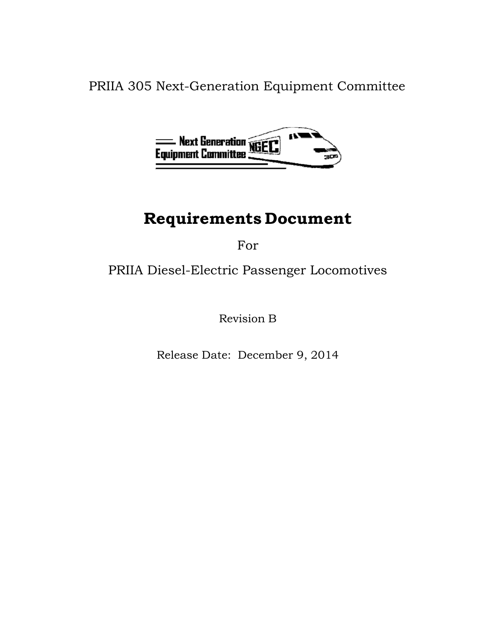PRIIA 305 Next-Generation Equipment Committee



# **Requirements Document**

For

## PRIIA Diesel-Electric Passenger Locomotives

Revision B

Release Date: December 9, 2014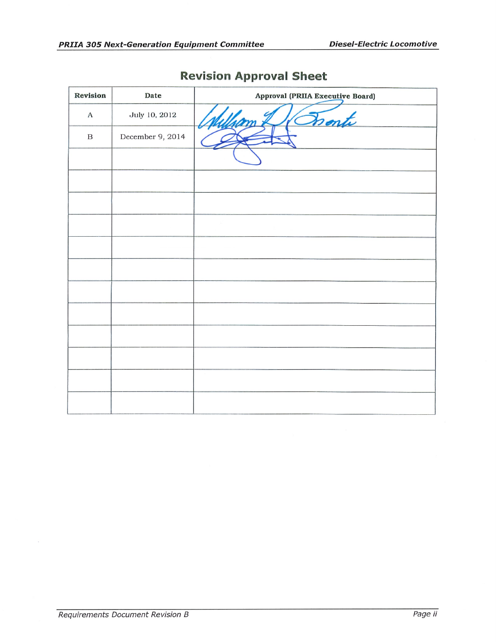| Revision     | Date             | Approval (PRIIA Executive Board) |
|--------------|------------------|----------------------------------|
| A            | July 10, 2012    | Donte                            |
| $\, {\bf B}$ | December 9, 2014 |                                  |
|              |                  |                                  |
|              |                  |                                  |
|              |                  |                                  |
|              |                  |                                  |
|              |                  |                                  |
|              |                  |                                  |
|              |                  |                                  |
|              |                  |                                  |
|              |                  |                                  |
|              |                  |                                  |
|              |                  |                                  |
|              |                  |                                  |

## **Revision Approval Sheet**

 $\bar{\omega}$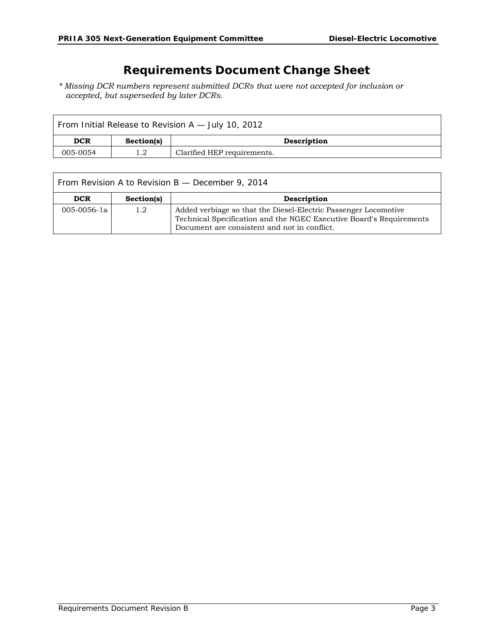### **Requirements Document Change Sheet**

*\* Missing DCR numbers represent submitted DCRs that were not accepted for inclusion or accepted, but superseded by later DCRs.* 

| From Initial Release to Revision A - July 10, 2012 |            |                             |  |  |  |  |
|----------------------------------------------------|------------|-----------------------------|--|--|--|--|
| <b>DCR</b>                                         | Section(s) | Description                 |  |  |  |  |
| 005-0054                                           |            | Clarified HEP requirements. |  |  |  |  |

| From Revision A to Revision B - December 9, 2014 |            |                                                                                                                                                                                        |  |  |  |
|--------------------------------------------------|------------|----------------------------------------------------------------------------------------------------------------------------------------------------------------------------------------|--|--|--|
| <b>DCR</b>                                       | Section(s) | Description                                                                                                                                                                            |  |  |  |
| $005 - 0056 - 1a$                                | 1.2        | Added verbiage so that the Diesel-Electric Passenger Locomotive<br>Technical Specification and the NGEC Executive Board's Requirements<br>Document are consistent and not in conflict. |  |  |  |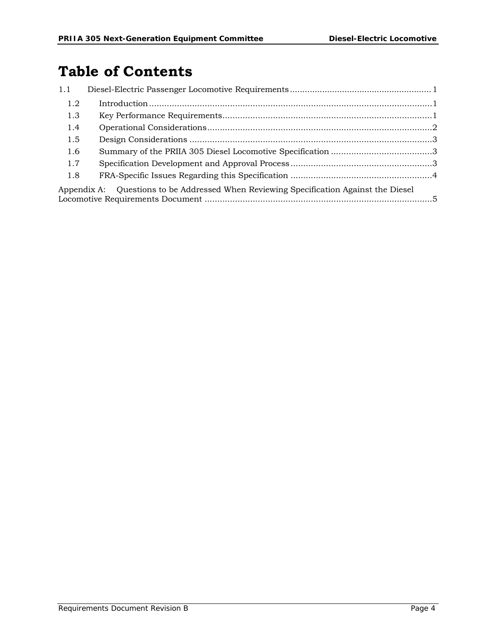# **Table of Contents**

| 1.1 |                                                                                          |  |
|-----|------------------------------------------------------------------------------------------|--|
| 1.2 |                                                                                          |  |
| 1.3 |                                                                                          |  |
| 1.4 |                                                                                          |  |
| 1.5 |                                                                                          |  |
| 1.6 |                                                                                          |  |
| 1.7 |                                                                                          |  |
| 1.8 |                                                                                          |  |
|     | Questions to be Addressed When Reviewing Specification Against the Diesel<br>Appendix A: |  |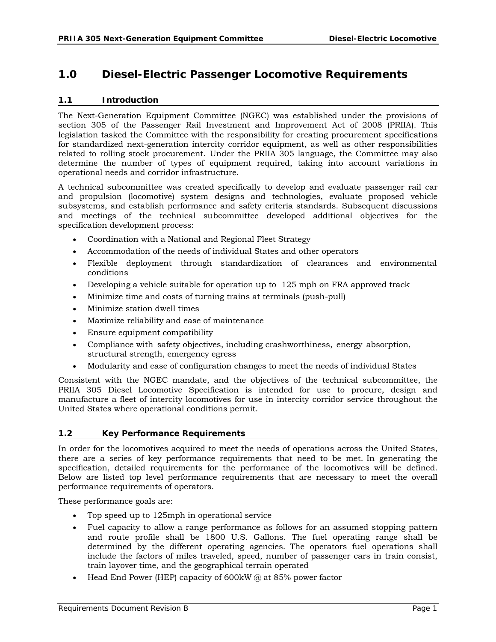### **1.0 Diesel-Electric Passenger Locomotive Requirements**

#### **1.1 Introduction**

The Next-Generation Equipment Committee (NGEC) was established under the provisions of section 305 of the Passenger Rail Investment and Improvement Act of 2008 (PRIIA). This legislation tasked the Committee with the responsibility for creating procurement specifications for standardized next-generation intercity corridor equipment, as well as other responsibilities related to rolling stock procurement. Under the PRIIA 305 language, the Committee may also determine the number of types of equipment required, taking into account variations in operational needs and corridor infrastructure.

A technical subcommittee was created specifically to develop and evaluate passenger rail car and propulsion (locomotive) system designs and technologies, evaluate proposed vehicle subsystems, and establish performance and safety criteria standards. Subsequent discussions and meetings of the technical subcommittee developed additional objectives for the specification development process:

- Coordination with a National and Regional Fleet Strategy
- Accommodation of the needs of individual States and other operators
- Flexible deployment through standardization of clearances and environmental conditions
- Developing a vehicle suitable for operation up to 125 mph on FRA approved track
- Minimize time and costs of turning trains at terminals (push-pull)
- Minimize station dwell times
- Maximize reliability and ease of maintenance
- Ensure equipment compatibility
- Compliance with safety objectives, including crashworthiness, energy absorption, structural strength, emergency egress
- Modularity and ease of configuration changes to meet the needs of individual States

Consistent with the NGEC mandate, and the objectives of the technical subcommittee, the PRIIA 305 Diesel Locomotive Specification is intended for use to procure, design and manufacture a fleet of intercity locomotives for use in intercity corridor service throughout the United States where operational conditions permit.

#### **1.2 Key Performance Requirements**

In order for the locomotives acquired to meet the needs of operations across the United States, there are a series of key performance requirements that need to be met. In generating the specification, detailed requirements for the performance of the locomotives will be defined. Below are listed top level performance requirements that are necessary to meet the overall performance requirements of operators.

These performance goals are:

- Top speed up to 125mph in operational service
- Fuel capacity to allow a range performance as follows for an assumed stopping pattern and route profile shall be 1800 U.S. Gallons. The fuel operating range shall be determined by the different operating agencies. The operators fuel operations shall include the factors of miles traveled, speed, number of passenger cars in train consist, train layover time, and the geographical terrain operated
- Head End Power (HEP) capacity of  $600$ kW  $\omega$  at 85% power factor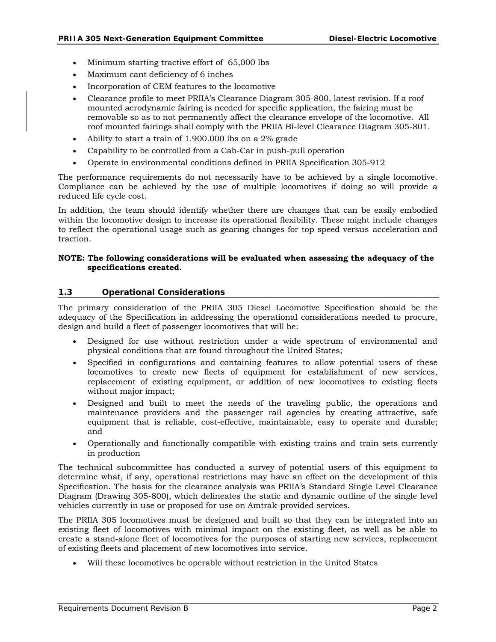- Minimum starting tractive effort of 65,000 lbs
- Maximum cant deficiency of 6 inches
- Incorporation of CEM features to the locomotive
- Clearance profile to meet PRIIA's Clearance Diagram 305-800, latest revision. If a roof mounted aerodynamic fairing is needed for specific application, the fairing must be removable so as to not permanently affect the clearance envelope of the locomotive. All roof mounted fairings shall comply with the PRIIA Bi-level Clearance Diagram 305-801.
- Ability to start a train of 1.900.000 lbs on a 2% grade
- Capability to be controlled from a Cab-Car in push-pull operation
- Operate in environmental conditions defined in PRIIA Specification 305-912

The performance requirements do not necessarily have to be achieved by a single locomotive. Compliance can be achieved by the use of multiple locomotives if doing so will provide a reduced life cycle cost.

In addition, the team should identify whether there are changes that can be easily embodied within the locomotive design to increase its operational flexibility. These might include changes to reflect the operational usage such as gearing changes for top speed versus acceleration and traction.

#### **NOTE: The following considerations will be evaluated when assessing the adequacy of the specifications created.**

#### **1.3 Operational Considerations**

The primary consideration of the PRIIA 305 Diesel Locomotive Specification should be the adequacy of the Specification in addressing the operational considerations needed to procure, design and build a fleet of passenger locomotives that will be:

- Designed for use without restriction under a wide spectrum of environmental and physical conditions that are found throughout the United States;
- Specified in configurations and containing features to allow potential users of these locomotives to create new fleets of equipment for establishment of new services, replacement of existing equipment, or addition of new locomotives to existing fleets without major impact;
- Designed and built to meet the needs of the traveling public, the operations and maintenance providers and the passenger rail agencies by creating attractive, safe equipment that is reliable, cost-effective, maintainable, easy to operate and durable; and
- Operationally and functionally compatible with existing trains and train sets currently in production

The technical subcommittee has conducted a survey of potential users of this equipment to determine what, if any, operational restrictions may have an effect on the development of this Specification. The basis for the clearance analysis was PRIIA's Standard Single Level Clearance Diagram (Drawing 305-800), which delineates the static and dynamic outline of the single level vehicles currently in use or proposed for use on Amtrak-provided services.

The PRIIA 305 locomotives must be designed and built so that they can be integrated into an existing fleet of locomotives with minimal impact on the existing fleet, as well as be able to create a stand-alone fleet of locomotives for the purposes of starting new services, replacement of existing fleets and placement of new locomotives into service.

Will these locomotives be operable without restriction in the United States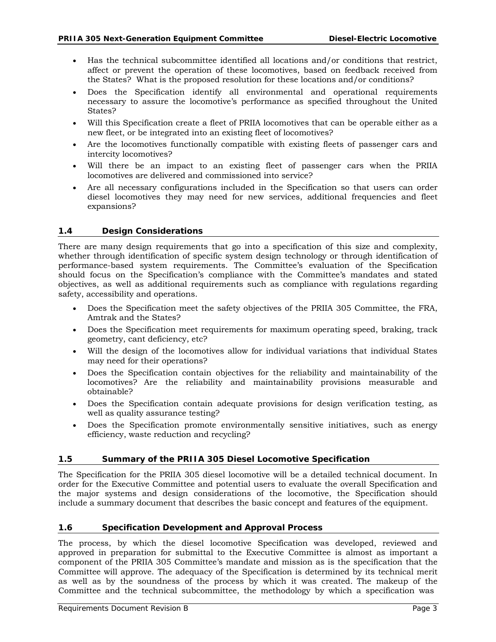- Has the technical subcommittee identified all locations and/or conditions that restrict, affect or prevent the operation of these locomotives, based on feedback received from the States? What is the proposed resolution for these locations and/or conditions?
- Does the Specification identify all environmental and operational requirements necessary to assure the locomotive's performance as specified throughout the United States?
- Will this Specification create a fleet of PRIIA locomotives that can be operable either as a new fleet, or be integrated into an existing fleet of locomotives?
- Are the locomotives functionally compatible with existing fleets of passenger cars and intercity locomotives?
- Will there be an impact to an existing fleet of passenger cars when the PRIIA locomotives are delivered and commissioned into service?
- Are all necessary configurations included in the Specification so that users can order diesel locomotives they may need for new services, additional frequencies and fleet expansions?

#### **1.4 Design Considerations**

There are many design requirements that go into a specification of this size and complexity, whether through identification of specific system design technology or through identification of performance-based system requirements. The Committee's evaluation of the Specification should focus on the Specification's compliance with the Committee's mandates and stated objectives, as well as additional requirements such as compliance with regulations regarding safety, accessibility and operations.

- Does the Specification meet the safety objectives of the PRIIA 305 Committee, the FRA, Amtrak and the States?
- Does the Specification meet requirements for maximum operating speed, braking, track geometry, cant deficiency, etc?
- Will the design of the locomotives allow for individual variations that individual States may need for their operations?
- Does the Specification contain objectives for the reliability and maintainability of the locomotives? Are the reliability and maintainability provisions measurable and obtainable?
- Does the Specification contain adequate provisions for design verification testing, as well as quality assurance testing?
- Does the Specification promote environmentally sensitive initiatives, such as energy efficiency, waste reduction and recycling?

#### **1.5 Summary of the PRIIA 305 Diesel Locomotive Specification**

The Specification for the PRIIA 305 diesel locomotive will be a detailed technical document. In order for the Executive Committee and potential users to evaluate the overall Specification and the major systems and design considerations of the locomotive, the Specification should include a summary document that describes the basic concept and features of the equipment.

#### **1.6 Specification Development and Approval Process**

The process, by which the diesel locomotive Specification was developed, reviewed and approved in preparation for submittal to the Executive Committee is almost as important a component of the PRIIA 305 Committee's mandate and mission as is the specification that the Committee will approve. The adequacy of the Specification is determined by its technical merit as well as by the soundness of the process by which it was created. The makeup of the Committee and the technical subcommittee, the methodology by which a specification was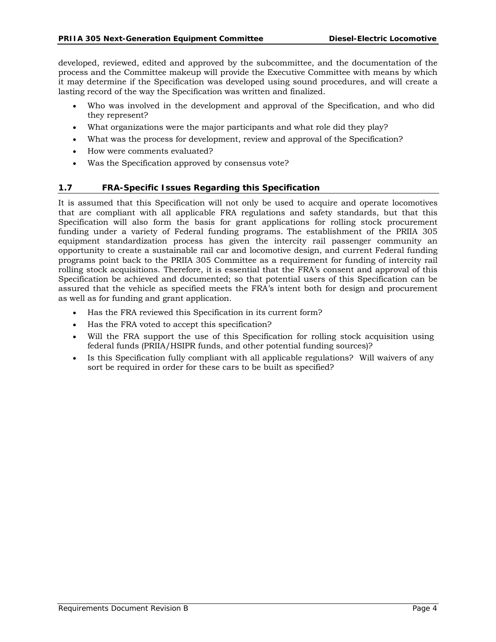developed, reviewed, edited and approved by the subcommittee, and the documentation of the process and the Committee makeup will provide the Executive Committee with means by which it may determine if the Specification was developed using sound procedures, and will create a lasting record of the way the Specification was written and finalized.

- Who was involved in the development and approval of the Specification, and who did they represent?
- What organizations were the major participants and what role did they play?
- What was the process for development, review and approval of the Specification?
- How were comments evaluated?
- Was the Specification approved by consensus vote?

#### **1.7 FRA-Specific Issues Regarding this Specification**

It is assumed that this Specification will not only be used to acquire and operate locomotives that are compliant with all applicable FRA regulations and safety standards, but that this Specification will also form the basis for grant applications for rolling stock procurement funding under a variety of Federal funding programs. The establishment of the PRIIA 305 equipment standardization process has given the intercity rail passenger community an opportunity to create a sustainable rail car and locomotive design, and current Federal funding programs point back to the PRIIA 305 Committee as a requirement for funding of intercity rail rolling stock acquisitions. Therefore, it is essential that the FRA's consent and approval of this Specification be achieved and documented; so that potential users of this Specification can be assured that the vehicle as specified meets the FRA's intent both for design and procurement as well as for funding and grant application.

- Has the FRA reviewed this Specification in its current form?
- Has the FRA voted to accept this specification?
- Will the FRA support the use of this Specification for rolling stock acquisition using federal funds (PRIIA/HSIPR funds, and other potential funding sources)?
- Is this Specification fully compliant with all applicable regulations? Will waivers of any sort be required in order for these cars to be built as specified?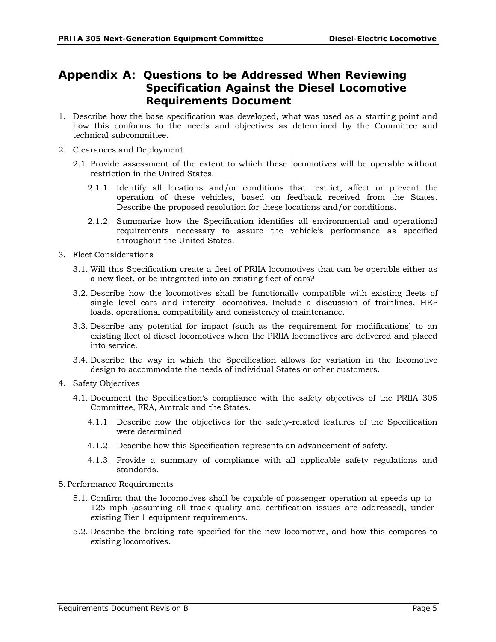### **Appendix A: Questions to be Addressed When Reviewing Specification Against the Diesel Locomotive Requirements Document**

- 1. Describe how the base specification was developed, what was used as a starting point and how this conforms to the needs and objectives as determined by the Committee and technical subcommittee.
- 2. Clearances and Deployment
	- 2.1. Provide assessment of the extent to which these locomotives will be operable without restriction in the United States.
		- 2.1.1. Identify all locations and/or conditions that restrict, affect or prevent the operation of these vehicles, based on feedback received from the States. Describe the proposed resolution for these locations and/or conditions.
		- 2.1.2. Summarize how the Specification identifies all environmental and operational requirements necessary to assure the vehicle's performance as specified throughout the United States.
- 3. Fleet Considerations
	- 3.1. Will this Specification create a fleet of PRIIA locomotives that can be operable either as a new fleet, or be integrated into an existing fleet of cars?
	- 3.2. Describe how the locomotives shall be functionally compatible with existing fleets of single level cars and intercity locomotives. Include a discussion of trainlines, HEP loads, operational compatibility and consistency of maintenance.
	- 3.3. Describe any potential for impact (such as the requirement for modifications) to an existing fleet of diesel locomotives when the PRIIA locomotives are delivered and placed into service.
	- 3.4. Describe the way in which the Specification allows for variation in the locomotive design to accommodate the needs of individual States or other customers.
- 4. Safety Objectives
	- 4.1. Document the Specification's compliance with the safety objectives of the PRIIA 305 Committee, FRA, Amtrak and the States.
		- 4.1.1. Describe how the objectives for the safety-related features of the Specification were determined
		- 4.1.2. Describe how this Specification represents an advancement of safety.
		- 4.1.3. Provide a summary of compliance with all applicable safety regulations and standards.
- 5.Performance Requirements
	- 5.1. Confirm that the locomotives shall be capable of passenger operation at speeds up to 125 mph (assuming all track quality and certification issues are addressed), under existing Tier 1 equipment requirements.
	- 5.2. Describe the braking rate specified for the new locomotive, and how this compares to existing locomotives.